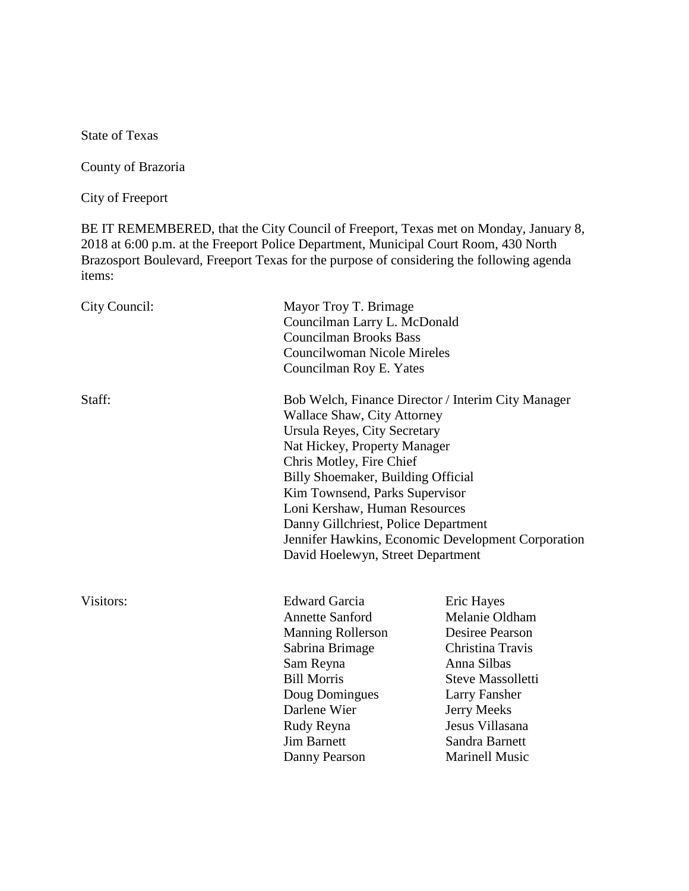State of Texas

County of Brazoria

City of Freeport

BE IT REMEMBERED, that the City Council of Freeport, Texas met on Monday, January 8, 2018 at 6:00 p.m. at the Freeport Police Department, Municipal Court Room, 430 North Brazosport Boulevard, Freeport Texas for the purpose of considering the following agenda items:

| City Council: | Mayor Troy T. Brimage<br>Councilman Larry L. McDonald<br><b>Councilman Brooks Bass</b><br>Councilwoman Nicole Mireles<br>Councilman Roy E. Yates                                                                                                                                                                                                                                                                                 |                                                                                                                                                                                                              |
|---------------|----------------------------------------------------------------------------------------------------------------------------------------------------------------------------------------------------------------------------------------------------------------------------------------------------------------------------------------------------------------------------------------------------------------------------------|--------------------------------------------------------------------------------------------------------------------------------------------------------------------------------------------------------------|
| Staff:        | Bob Welch, Finance Director / Interim City Manager<br><b>Wallace Shaw, City Attorney</b><br>Ursula Reyes, City Secretary<br>Nat Hickey, Property Manager<br>Chris Motley, Fire Chief<br>Billy Shoemaker, Building Official<br>Kim Townsend, Parks Supervisor<br>Loni Kershaw, Human Resources<br>Danny Gillchriest, Police Department<br>Jennifer Hawkins, Economic Development Corporation<br>David Hoelewyn, Street Department |                                                                                                                                                                                                              |
| Visitors:     | <b>Edward Garcia</b><br><b>Annette Sanford</b><br><b>Manning Rollerson</b><br>Sabrina Brimage<br>Sam Reyna<br><b>Bill Morris</b><br>Doug Domingues<br>Darlene Wier<br>Rudy Reyna<br><b>Jim Barnett</b><br>Danny Pearson                                                                                                                                                                                                          | Eric Hayes<br>Melanie Oldham<br>Desiree Pearson<br>Christina Travis<br>Anna Silbas<br><b>Steve Massolletti</b><br>Larry Fansher<br>Jerry Meeks<br>Jesus Villasana<br>Sandra Barnett<br><b>Marinell Music</b> |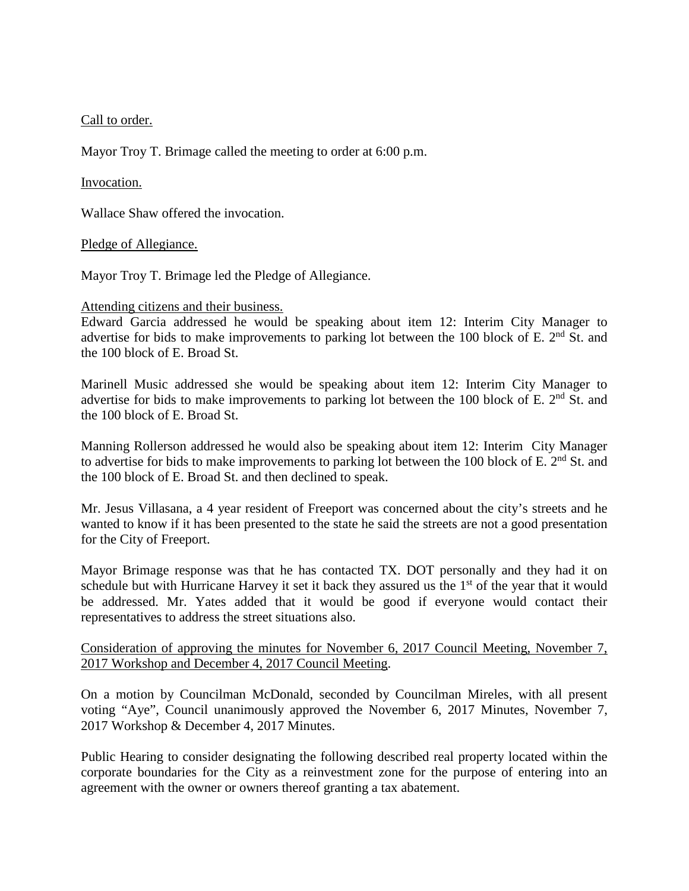# Call to order.

Mayor Troy T. Brimage called the meeting to order at 6:00 p.m.

# Invocation.

Wallace Shaw offered the invocation.

### Pledge of Allegiance.

Mayor Troy T. Brimage led the Pledge of Allegiance.

### Attending citizens and their business.

Edward Garcia addressed he would be speaking about item 12: Interim City Manager to advertise for bids to make improvements to parking lot between the 100 block of E.  $2<sup>nd</sup>$  St. and the 100 block of E. Broad St.

Marinell Music addressed she would be speaking about item 12: Interim City Manager to advertise for bids to make improvements to parking lot between the 100 block of E.  $2<sup>nd</sup>$  St. and the 100 block of E. Broad St.

Manning Rollerson addressed he would also be speaking about item 12: Interim City Manager to advertise for bids to make improvements to parking lot between the 100 block of E. 2<sup>nd</sup> St. and the 100 block of E. Broad St. and then declined to speak.

Mr. Jesus Villasana, a 4 year resident of Freeport was concerned about the city's streets and he wanted to know if it has been presented to the state he said the streets are not a good presentation for the City of Freeport.

Mayor Brimage response was that he has contacted TX. DOT personally and they had it on schedule but with Hurricane Harvey it set it back they assured us the  $1<sup>st</sup>$  of the year that it would be addressed. Mr. Yates added that it would be good if everyone would contact their representatives to address the street situations also.

# Consideration of approving the minutes for November 6, 2017 Council Meeting, November 7, 2017 Workshop and December 4, 2017 Council Meeting.

On a motion by Councilman McDonald, seconded by Councilman Mireles, with all present voting "Aye", Council unanimously approved the November 6, 2017 Minutes, November 7, 2017 Workshop & December 4, 2017 Minutes.

Public Hearing to consider designating the following described real property located within the corporate boundaries for the City as a reinvestment zone for the purpose of entering into an agreement with the owner or owners thereof granting a tax abatement.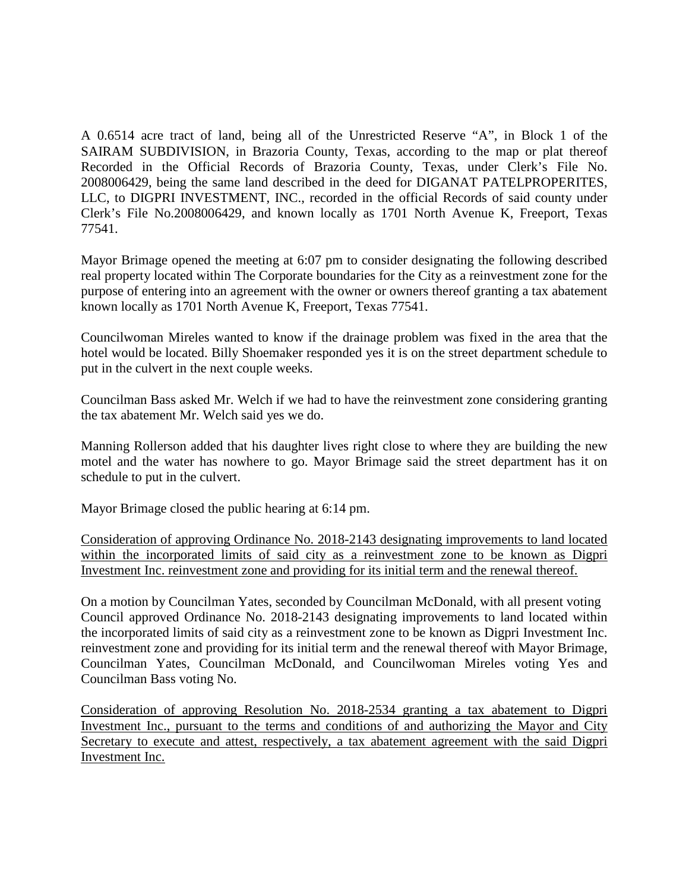A 0.6514 acre tract of land, being all of the Unrestricted Reserve "A", in Block 1 of the SAIRAM SUBDIVISION, in Brazoria County, Texas, according to the map or plat thereof Recorded in the Official Records of Brazoria County, Texas, under Clerk's File No. 2008006429, being the same land described in the deed for DIGANAT PATELPROPERITES, LLC, to DIGPRI INVESTMENT, INC., recorded in the official Records of said county under Clerk's File No.2008006429, and known locally as 1701 North Avenue K, Freeport, Texas 77541.

Mayor Brimage opened the meeting at 6:07 pm to consider designating the following described real property located within The Corporate boundaries for the City as a reinvestment zone for the purpose of entering into an agreement with the owner or owners thereof granting a tax abatement known locally as 1701 North Avenue K, Freeport, Texas 77541.

Councilwoman Mireles wanted to know if the drainage problem was fixed in the area that the hotel would be located. Billy Shoemaker responded yes it is on the street department schedule to put in the culvert in the next couple weeks.

Councilman Bass asked Mr. Welch if we had to have the reinvestment zone considering granting the tax abatement Mr. Welch said yes we do.

Manning Rollerson added that his daughter lives right close to where they are building the new motel and the water has nowhere to go. Mayor Brimage said the street department has it on schedule to put in the culvert.

Mayor Brimage closed the public hearing at 6:14 pm.

Consideration of approving Ordinance No. 2018-2143 designating improvements to land located within the incorporated limits of said city as a reinvestment zone to be known as Digpri Investment Inc. reinvestment zone and providing for its initial term and the renewal thereof.

On a motion by Councilman Yates, seconded by Councilman McDonald, with all present voting Council approved Ordinance No. 2018-2143 designating improvements to land located within the incorporated limits of said city as a reinvestment zone to be known as Digpri Investment Inc. reinvestment zone and providing for its initial term and the renewal thereof with Mayor Brimage, Councilman Yates, Councilman McDonald, and Councilwoman Mireles voting Yes and Councilman Bass voting No.

Consideration of approving Resolution No. 2018-2534 granting a tax abatement to Digpri Investment Inc., pursuant to the terms and conditions of and authorizing the Mayor and City Secretary to execute and attest, respectively, a tax abatement agreement with the said Digpri Investment Inc.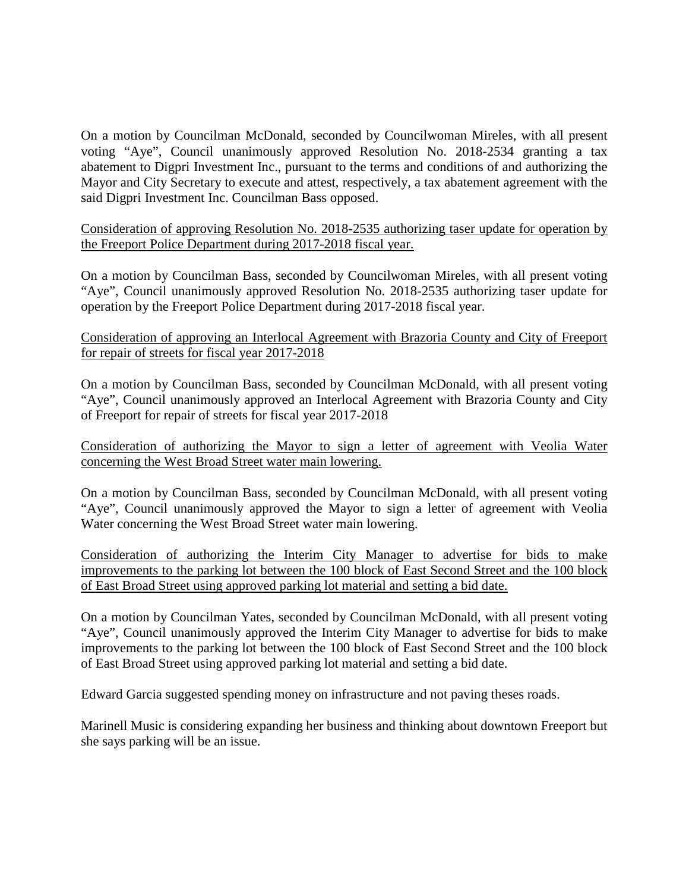On a motion by Councilman McDonald, seconded by Councilwoman Mireles, with all present voting "Aye", Council unanimously approved Resolution No. 2018-2534 granting a tax abatement to Digpri Investment Inc., pursuant to the terms and conditions of and authorizing the Mayor and City Secretary to execute and attest, respectively, a tax abatement agreement with the said Digpri Investment Inc. Councilman Bass opposed.

Consideration of approving Resolution No. 2018-2535 authorizing taser update for operation by the Freeport Police Department during 2017-2018 fiscal year.

On a motion by Councilman Bass, seconded by Councilwoman Mireles, with all present voting "Aye", Council unanimously approved Resolution No. 2018-2535 authorizing taser update for operation by the Freeport Police Department during 2017-2018 fiscal year.

Consideration of approving an Interlocal Agreement with Brazoria County and City of Freeport for repair of streets for fiscal year 2017-2018

On a motion by Councilman Bass, seconded by Councilman McDonald, with all present voting "Aye", Council unanimously approved an Interlocal Agreement with Brazoria County and City of Freeport for repair of streets for fiscal year 2017-2018

Consideration of authorizing the Mayor to sign a letter of agreement with Veolia Water concerning the West Broad Street water main lowering.

On a motion by Councilman Bass, seconded by Councilman McDonald, with all present voting "Aye", Council unanimously approved the Mayor to sign a letter of agreement with Veolia Water concerning the West Broad Street water main lowering.

Consideration of authorizing the Interim City Manager to advertise for bids to make improvements to the parking lot between the 100 block of East Second Street and the 100 block of East Broad Street using approved parking lot material and setting a bid date.

On a motion by Councilman Yates, seconded by Councilman McDonald, with all present voting "Aye", Council unanimously approved the Interim City Manager to advertise for bids to make improvements to the parking lot between the 100 block of East Second Street and the 100 block of East Broad Street using approved parking lot material and setting a bid date.

Edward Garcia suggested spending money on infrastructure and not paving theses roads.

Marinell Music is considering expanding her business and thinking about downtown Freeport but she says parking will be an issue.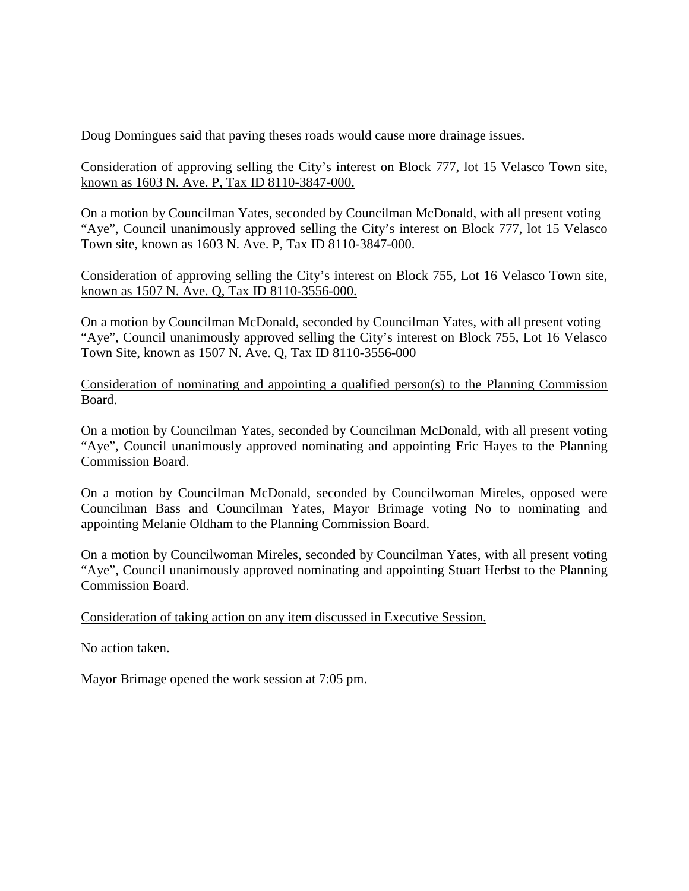Doug Domingues said that paving theses roads would cause more drainage issues.

Consideration of approving selling the City's interest on Block 777, lot 15 Velasco Town site, known as 1603 N. Ave. P, Tax ID 8110-3847-000.

On a motion by Councilman Yates, seconded by Councilman McDonald, with all present voting "Aye", Council unanimously approved selling the City's interest on Block 777, lot 15 Velasco Town site, known as 1603 N. Ave. P, Tax ID 8110-3847-000.

Consideration of approving selling the City's interest on Block 755, Lot 16 Velasco Town site, known as 1507 N. Ave. Q, Tax ID 8110-3556-000.

On a motion by Councilman McDonald, seconded by Councilman Yates, with all present voting "Aye", Council unanimously approved selling the City's interest on Block 755, Lot 16 Velasco Town Site, known as 1507 N. Ave. Q, Tax ID 8110-3556-000

Consideration of nominating and appointing a qualified person(s) to the Planning Commission Board.

On a motion by Councilman Yates, seconded by Councilman McDonald, with all present voting "Aye", Council unanimously approved nominating and appointing Eric Hayes to the Planning Commission Board.

On a motion by Councilman McDonald, seconded by Councilwoman Mireles, opposed were Councilman Bass and Councilman Yates, Mayor Brimage voting No to nominating and appointing Melanie Oldham to the Planning Commission Board.

On a motion by Councilwoman Mireles, seconded by Councilman Yates, with all present voting "Aye", Council unanimously approved nominating and appointing Stuart Herbst to the Planning Commission Board.

Consideration of taking action on any item discussed in Executive Session.

No action taken.

Mayor Brimage opened the work session at 7:05 pm.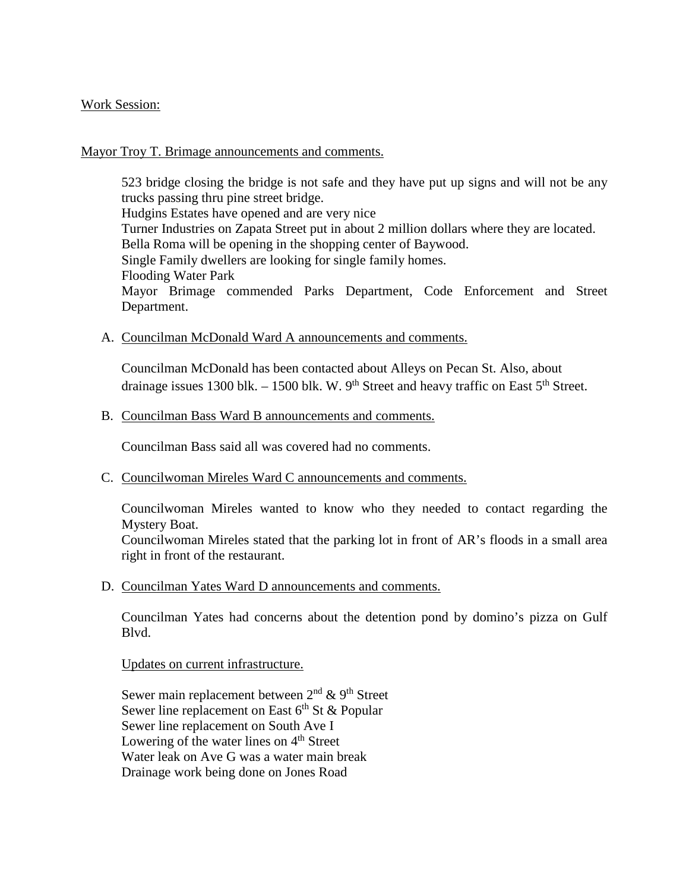### Work Session:

#### Mayor Troy T. Brimage announcements and comments.

523 bridge closing the bridge is not safe and they have put up signs and will not be any trucks passing thru pine street bridge. Hudgins Estates have opened and are very nice Turner Industries on Zapata Street put in about 2 million dollars where they are located. Bella Roma will be opening in the shopping center of Baywood. Single Family dwellers are looking for single family homes. Flooding Water Park Mayor Brimage commended Parks Department, Code Enforcement and Street Department.

A. Councilman McDonald Ward A announcements and comments.

Councilman McDonald has been contacted about Alleys on Pecan St. Also, about drainage issues 1300 blk. – 1500 blk. W.  $9<sup>th</sup>$  Street and heavy traffic on East  $5<sup>th</sup>$  Street.

### B. Councilman Bass Ward B announcements and comments.

Councilman Bass said all was covered had no comments.

C. Councilwoman Mireles Ward C announcements and comments.

Councilwoman Mireles wanted to know who they needed to contact regarding the Mystery Boat.

Councilwoman Mireles stated that the parking lot in front of AR's floods in a small area right in front of the restaurant.

D. Councilman Yates Ward D announcements and comments.

Councilman Yates had concerns about the detention pond by domino's pizza on Gulf Blvd.

Updates on current infrastructure.

Sewer main replacement between  $2<sup>nd</sup>$  & 9<sup>th</sup> Street Sewer line replacement on East  $6<sup>th</sup>$  St & Popular Sewer line replacement on South Ave I Lowering of the water lines on  $4<sup>th</sup>$  Street Water leak on Ave G was a water main break Drainage work being done on Jones Road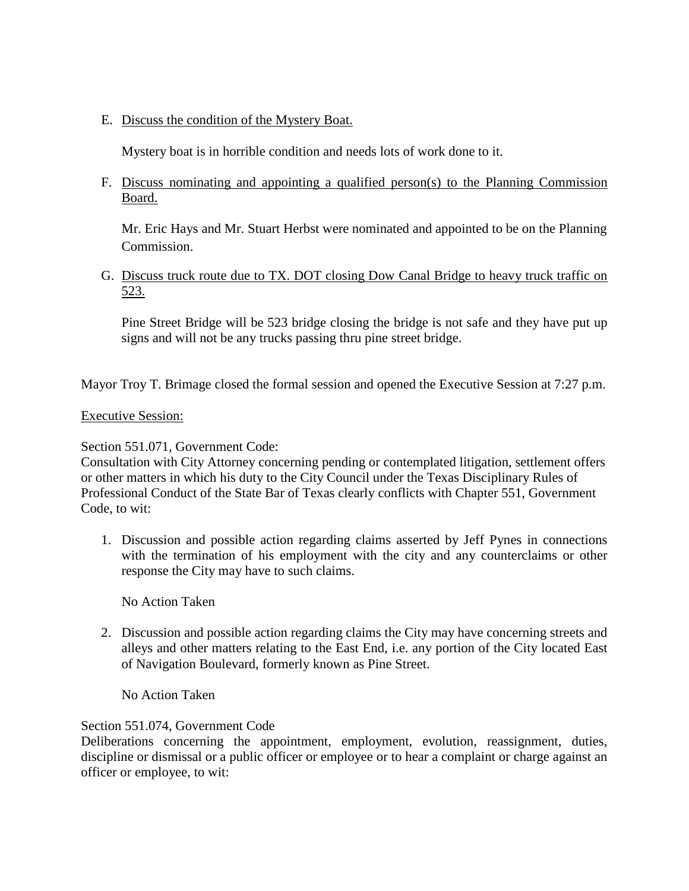E. Discuss the condition of the Mystery Boat.

Mystery boat is in horrible condition and needs lots of work done to it.

F. Discuss nominating and appointing a qualified person(s) to the Planning Commission Board.

Mr. Eric Hays and Mr. Stuart Herbst were nominated and appointed to be on the Planning Commission.

G. Discuss truck route due to TX. DOT closing Dow Canal Bridge to heavy truck traffic on 523.

Pine Street Bridge will be 523 bridge closing the bridge is not safe and they have put up signs and will not be any trucks passing thru pine street bridge.

Mayor Troy T. Brimage closed the formal session and opened the Executive Session at 7:27 p.m.

# Executive Session:

# Section 551.071, Government Code:

Consultation with City Attorney concerning pending or contemplated litigation, settlement offers or other matters in which his duty to the City Council under the Texas Disciplinary Rules of Professional Conduct of the State Bar of Texas clearly conflicts with Chapter 551, Government Code, to wit:

1. Discussion and possible action regarding claims asserted by Jeff Pynes in connections with the termination of his employment with the city and any counterclaims or other response the City may have to such claims.

No Action Taken

2. Discussion and possible action regarding claims the City may have concerning streets and alleys and other matters relating to the East End, i.e. any portion of the City located East of Navigation Boulevard, formerly known as Pine Street.

No Action Taken

# Section 551.074, Government Code

Deliberations concerning the appointment, employment, evolution, reassignment, duties, discipline or dismissal or a public officer or employee or to hear a complaint or charge against an officer or employee, to wit: